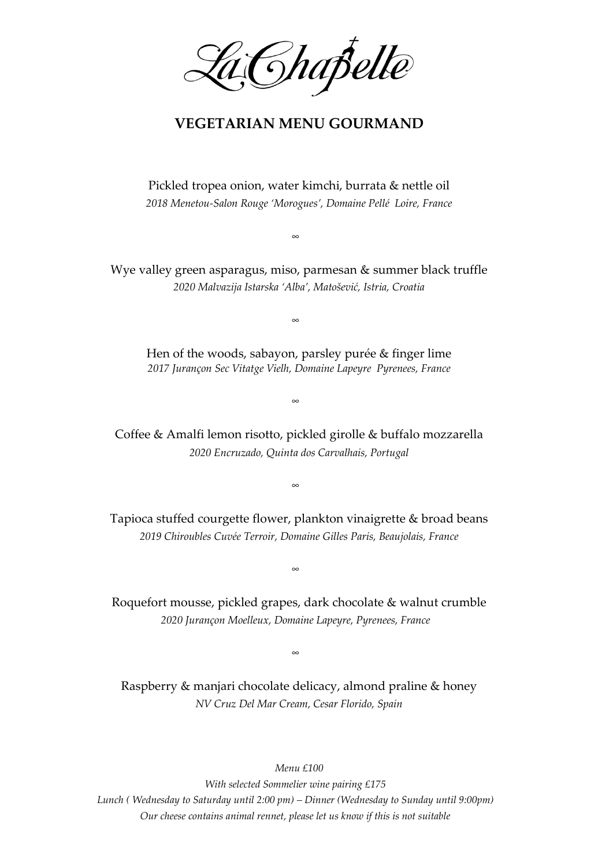Ghapelle

## **VEGETARIAN MENU GOURMAND**

Pickled tropea onion, water kimchi, burrata & nettle oil *2018 Menetou-Salon Rouge 'Morogues', Domaine Pellé Loire, France*

∞

Wye valley green asparagus, miso, parmesan & summer black truffle *2020 Malvazija Istarska 'Alba', Matošević, Istria, Croatia*

∞

Hen of the woods, sabayon, parsley purée & finger lime *2017 Jurançon Sec Vitatge Vielh, Domaine Lapeyre Pyrenees, France*

∞

Coffee & Amalfi lemon risotto, pickled girolle & buffalo mozzarella *2020 Encruzado, Quinta dos Carvalhais, Portugal*

∞

Tapioca stuffed courgette flower, plankton vinaigrette & broad beans *2019 Chiroubles Cuvée Terroir, Domaine Gilles Paris, Beaujolais, France*

∞

Roquefort mousse, pickled grapes, dark chocolate & walnut crumble *2020 Jurançon Moelleux, Domaine Lapeyre, Pyrenees, France*

∞

Raspberry & manjari chocolate delicacy, almond praline & honey *NV Cruz Del Mar Cream, Cesar Florido, Spain*

*Menu £100*

*With selected Sommelier wine pairing £175 Lunch ( Wednesday to Saturday until 2:00 pm) – Dinner (Wednesday to Sunday until 9:00pm) Our cheese contains animal rennet, please let us know if this is not suitable*